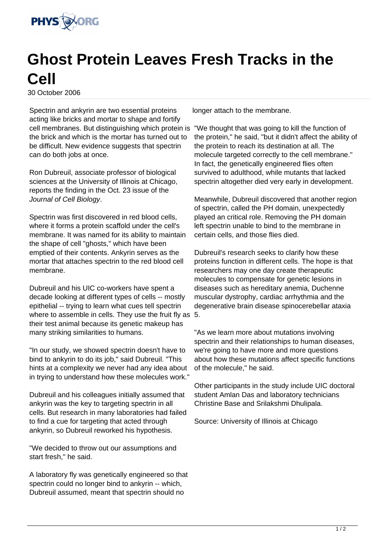

## **Ghost Protein Leaves Fresh Tracks in the Cell**

30 October 2006

Spectrin and ankyrin are two essential proteins acting like bricks and mortar to shape and fortify cell membranes. But distinguishing which protein is the brick and which is the mortar has turned out to be difficult. New evidence suggests that spectrin can do both jobs at once.

Ron Dubreuil, associate professor of biological sciences at the University of Illinois at Chicago, reports the finding in the Oct. 23 issue of the Journal of Cell Biology.

Spectrin was first discovered in red blood cells, where it forms a protein scaffold under the cell's membrane. It was named for its ability to maintain the shape of cell "ghosts," which have been emptied of their contents. Ankyrin serves as the mortar that attaches spectrin to the red blood cell membrane.

Dubreuil and his UIC co-workers have spent a decade looking at different types of cells -- mostly epithelial -- trying to learn what cues tell spectrin where to assemble in cells. They use the fruit fly as 5. their test animal because its genetic makeup has many striking similarities to humans.

"In our study, we showed spectrin doesn't have to bind to ankyrin to do its job," said Dubreuil. "This hints at a complexity we never had any idea about in trying to understand how these molecules work."

Dubreuil and his colleagues initially assumed that ankyrin was the key to targeting spectrin in all cells. But research in many laboratories had failed to find a cue for targeting that acted through ankyrin, so Dubreuil reworked his hypothesis.

"We decided to throw out our assumptions and start fresh," he said.

A laboratory fly was genetically engineered so that spectrin could no longer bind to ankyrin -- which, Dubreuil assumed, meant that spectrin should no

longer attach to the membrane.

"We thought that was going to kill the function of the protein," he said, "but it didn't affect the ability of the protein to reach its destination at all. The molecule targeted correctly to the cell membrane." In fact, the genetically engineered flies often survived to adulthood, while mutants that lacked spectrin altogether died very early in development.

Meanwhile, Dubreuil discovered that another region of spectrin, called the PH domain, unexpectedly played an critical role. Removing the PH domain left spectrin unable to bind to the membrane in certain cells, and those flies died.

Dubreuil's research seeks to clarify how these proteins function in different cells. The hope is that researchers may one day create therapeutic molecules to compensate for genetic lesions in diseases such as hereditary anemia, Duchenne muscular dystrophy, cardiac arrhythmia and the degenerative brain disease spinocerebellar ataxia

"As we learn more about mutations involving spectrin and their relationships to human diseases, we're going to have more and more questions about how these mutations affect specific functions of the molecule," he said.

Other participants in the study include UIC doctoral student Amlan Das and laboratory technicians Christine Base and Srilakshmi Dhulipala.

Source: University of Illinois at Chicago